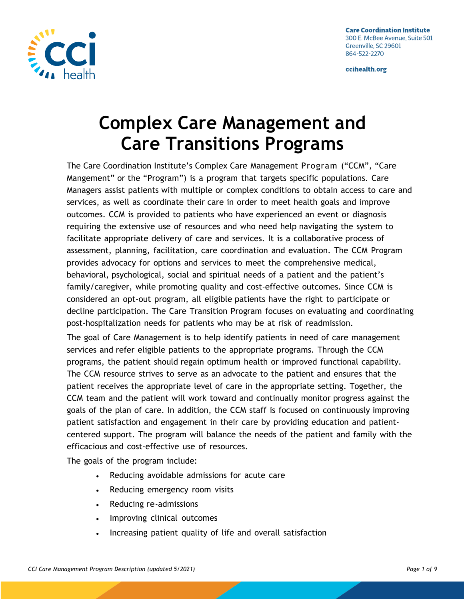

# **Complex Care Management and Care Transitions Programs**

The Care Coordination Institute's Complex Care Management Program ("CCM", "Care Mangement" or the "Program") is a program that targets specific populations. Care Managers assist patients with multiple or complex conditions to obtain access to care and services, as well as coordinate their care in order to meet health goals and improve outcomes. CCM is provided to patients who have experienced an event or diagnosis requiring the extensive use of resources and who need help navigating the system to facilitate appropriate delivery of care and services. It is a collaborative process of assessment, planning, facilitation, care coordination and evaluation. The CCM Program provides advocacy for options and services to meet the comprehensive medical, behavioral, psychological, social and spiritual needs of a patient and the patient's family/caregiver, while promoting quality and cost-effective outcomes. Since CCM is considered an opt-out program, all eligible patients have the right to participate or decline participation. The Care Transition Program focuses on evaluating and coordinating post-hospitalization needs for patients who may be at risk of readmission.

The goal of Care Management is to help identify patients in need of care management services and refer eligible patients to the appropriate programs. Through the CCM programs, the patient should regain optimum health or improved functional capability. The CCM resource strives to serve as an advocate to the patient and ensures that the patient receives the appropriate level of care in the appropriate setting. Together, the CCM team and the patient will work toward and continually monitor progress against the goals of the plan of care. In addition, the CCM staff is focused on continuously improving patient satisfaction and engagement in their care by providing education and patientcentered support. The program will balance the needs of the patient and family with the efficacious and cost-effective use of resources.

The goals of the program include:

- Reducing avoidable admissions for acute care
- Reducing emergency room visits
- Reducing re-admissions
- Improving clinical outcomes
- Increasing patient quality of life and overall satisfaction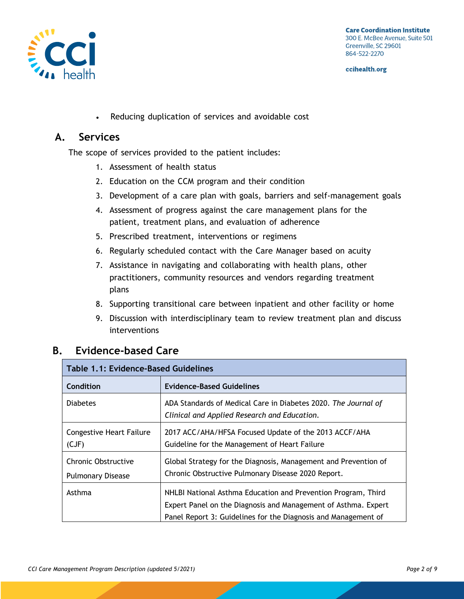

• Reducing duplication of services and avoidable cost

#### **A. Services**

The scope of services provided to the patient includes:

- 1. Assessment of health status
- 2. Education on the CCM program and their condition
- 3. Development of a care plan with goals, barriers and self-management goals
- 4. Assessment of progress against the care management plans for the patient, treatment plans, and evaluation of adherence
- 5. Prescribed treatment, interventions or regimens
- 6. Regularly scheduled contact with the Care Manager based on acuity
- 7. Assistance in navigating and collaborating with health plans, other practitioners, community resources and vendors regarding treatment plans
- 8. Supporting transitional care between inpatient and other facility or home
- 9. Discussion with interdisciplinary team to review treatment plan and discuss interventions

#### **B. Evidence-based Care**

| <b>Table 1.1: Evidence-Based Guidelines</b>            |                                                                                                                                                                                                   |  |
|--------------------------------------------------------|---------------------------------------------------------------------------------------------------------------------------------------------------------------------------------------------------|--|
| Condition                                              | <b>Evidence-Based Guidelines</b>                                                                                                                                                                  |  |
| <b>Diabetes</b>                                        | ADA Standards of Medical Care in Diabetes 2020. The Journal of<br>Clinical and Applied Research and Education.                                                                                    |  |
| <b>Congestive Heart Failure</b><br>(CJF)               | 2017 ACC/AHA/HFSA Focused Update of the 2013 ACCF/AHA<br>Guideline for the Management of Heart Failure                                                                                            |  |
| <b>Chronic Obstructive</b><br><b>Pulmonary Disease</b> | Global Strategy for the Diagnosis, Management and Prevention of<br>Chronic Obstructive Pulmonary Disease 2020 Report.                                                                             |  |
| Asthma                                                 | NHLBI National Asthma Education and Prevention Program, Third<br>Expert Panel on the Diagnosis and Management of Asthma. Expert<br>Panel Report 3: Guidelines for the Diagnosis and Management of |  |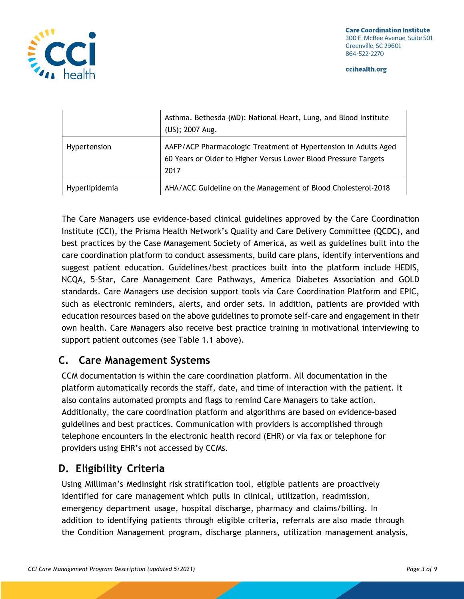

|                | Asthma. Bethesda (MD): National Heart, Lung, and Blood Institute<br>(US); 2007 Aug.                                                        |
|----------------|--------------------------------------------------------------------------------------------------------------------------------------------|
| Hypertension   | AAFP/ACP Pharmacologic Treatment of Hypertension in Adults Aged<br>60 Years or Older to Higher Versus Lower Blood Pressure Targets<br>2017 |
| Hyperlipidemia | AHA/ACC Guideline on the Management of Blood Cholesterol-2018                                                                              |

The Care Managers use evidence-based clinical guidelines approved by the Care Coordination Institute (CCI), the Prisma Health Network's Quality and Care Delivery Committee (QCDC), and best practices by the Case Management Society of America, as well as guidelines built into the care coordination platform to conduct assessments, build care plans, identify interventions and suggest patient education. Guidelines/best practices built into the platform include HEDIS, NCQA, 5-Star, Care Management Care Pathways, America Diabetes Association and GOLD standards. Care Managers use decision support tools via Care Coordination Platform and EPIC, such as electronic reminders, alerts, and order sets. In addition, patients are provided with education resources based on the above guidelines to promote self-care and engagement in their own health. Care Managers also receive best practice training in motivational interviewing to support patient outcomes (see Table 1.1 above).

## **C. Care Management Systems**

CCM documentation is within the care coordination platform. All documentation in the platform automatically records the staff, date, and time of interaction with the patient. It also contains automated prompts and flags to remind Care Managers to take action. Additionally, the care coordination platform and algorithms are based on evidence-based guidelines and best practices. Communication with providers is accomplished through telephone encounters in the electronic health record (EHR) or via fax or telephone for providers using EHR's not accessed by CCMs.

## **D. Eligibility Criteria**

Using Milliman's MedInsight risk stratification tool, eligible patients are proactively identified for care management which pulls in clinical, utilization, readmission, emergency department usage, hospital discharge, pharmacy and claims/billing. In addition to identifying patients through eligible criteria, referrals are also made through the Condition Management program, discharge planners, utilization management analysis,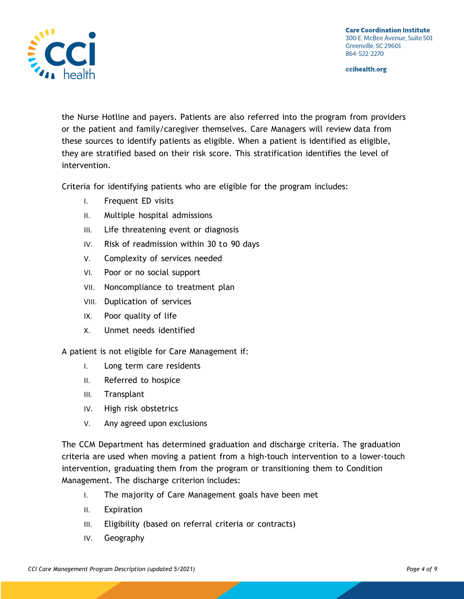**Care Coordination Institute** 300 E. McBee Avenue, Suite 501 Greenville, SC 29601 864-522-2270

ccihealth.org



the Nurse Hotline and payers. Patients are also referred into the program from providers or the patient and family/caregiver themselves. Care Managers will review data from these sources to identify patients as eligible. When a patient is identified as eligible, they are stratified based on their risk score. This stratification identifies the level of intervention.

Criteria for identifying patients who are eligible for the program includes:

- I. Frequent ED visits
- II. Multiple hospital admissions
- III. Life threatening event or diagnosis
- IV. Risk of readmission within 30 to 90 days
- V. Complexity of services needed
- VI. Poor or no social support
- VII. Noncompliance to treatment plan
- VIII. Duplication of services
- IX. Poor quality of life
- X. Unmet needs identified

A patient is not eligible for Care Management if:

- I. Long term care residents
- II. Referred to hospice
- III. Transplant
- IV. High risk obstetrics
- V. Any agreed upon exclusions

The CCM Department has determined graduation and discharge criteria. The graduation criteria are used when moving a patient from a high-touch intervention to a lower-touch intervention, graduating them from the program or transitioning them to Condition Management. The discharge criterion includes:

- I. The majority of Care Management goals have been met
- II. Expiration
- III. Eligibility (based on referral criteria or contracts)
- IV. Geography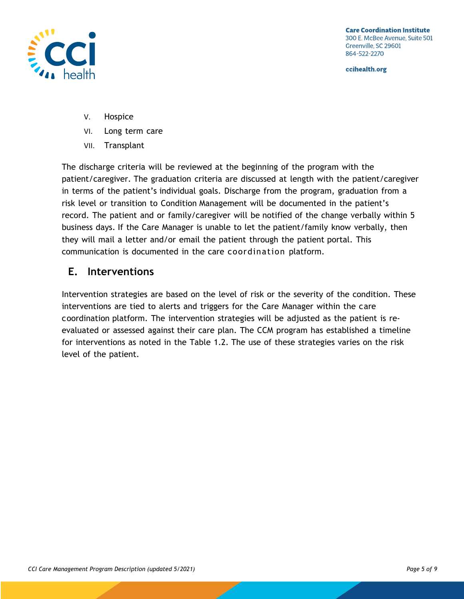

- V. Hospice
- VI. Long term care
- VII. Transplant

The discharge criteria will be reviewed at the beginning of the program with the patient/caregiver. The graduation criteria are discussed at length with the patient/caregiver in terms of the patient's individual goals. Discharge from the program, graduation from a risk level or transition to Condition Management will be documented in the patient's record. The patient and or family/caregiver will be notified of the change verbally within 5 business days. If the Care Manager is unable to let the patient/family know verbally, then they will mail a letter and/or email the patient through the patient portal. This communication is documented in the care coordination platform.

#### **E. Interventions**

Intervention strategies are based on the level of risk or the severity of the condition. These interventions are tied to alerts and triggers for the Care Manager within the care coordination platform. The intervention strategies will be adjusted as the patient is reevaluated or assessed against their care plan. The CCM program has established a timeline for interventions as noted in the Table 1.2. The use of these strategies varies on the risk level of the patient.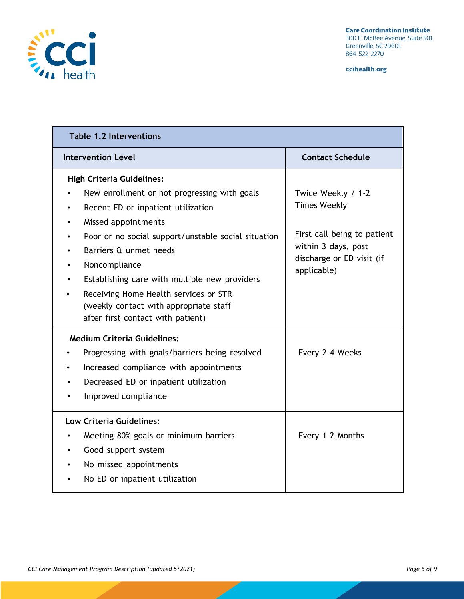

| <b>Table 1.2 Interventions</b>                                                                                                                                                                                                                                                                                                                                                                                                        |                                                                                                                                             |  |  |
|---------------------------------------------------------------------------------------------------------------------------------------------------------------------------------------------------------------------------------------------------------------------------------------------------------------------------------------------------------------------------------------------------------------------------------------|---------------------------------------------------------------------------------------------------------------------------------------------|--|--|
| <b>Intervention Level</b>                                                                                                                                                                                                                                                                                                                                                                                                             | <b>Contact Schedule</b>                                                                                                                     |  |  |
| <b>High Criteria Guidelines:</b><br>New enrollment or not progressing with goals<br>Recent ED or inpatient utilization<br>$\bullet$<br>Missed appointments<br>Poor or no social support/unstable social situation<br>Barriers & unmet needs<br>Noncompliance<br>Establishing care with multiple new providers<br>Receiving Home Health services or STR<br>(weekly contact with appropriate staff<br>after first contact with patient) | Twice Weekly / 1-2<br><b>Times Weekly</b><br>First call being to patient<br>within 3 days, post<br>discharge or ED visit (if<br>applicable) |  |  |
| <b>Medium Criteria Guidelines:</b><br>Progressing with goals/barriers being resolved<br>Increased compliance with appointments<br>Decreased ED or inpatient utilization<br>Improved compliance                                                                                                                                                                                                                                        | Every 2-4 Weeks                                                                                                                             |  |  |
| Low Criteria Guidelines:<br>Meeting 80% goals or minimum barriers<br>Good support system<br>No missed appointments<br>No ED or inpatient utilization                                                                                                                                                                                                                                                                                  | Every 1-2 Months                                                                                                                            |  |  |

Z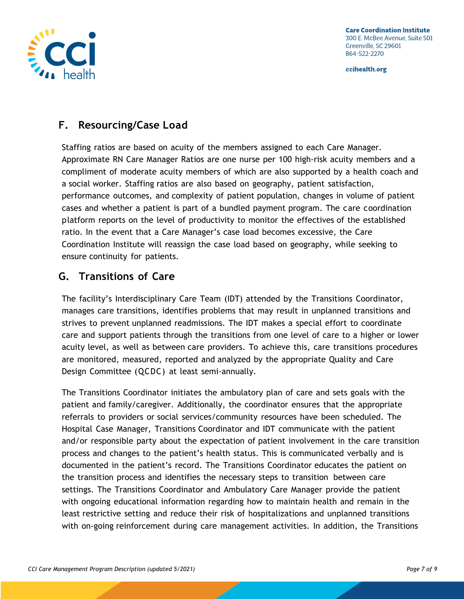

## **F. Resourcing/Case Load**

Staffing ratios are based on acuity of the members assigned to each Care Manager. Approximate RN Care Manager Ratios are one nurse per 100 high-risk acuity members and a compliment of moderate acuity members of which are also supported by a health coach and a social worker. Staffing ratios are also based on geography, patient satisfaction, performance outcomes, and complexity of patient population, changes in volume of patient cases and whether a patient is part of a bundled payment program. The care coordination platform reports on the level of productivity to monitor the effectives of the established ratio. In the event that a Care Manager's case load becomes excessive, the Care Coordination Institute will reassign the case load based on geography, while seeking to ensure continuity for patients.

### **G. Transitions of Care**

The facility's Interdisciplinary Care Team (IDT) attended by the Transitions Coordinator, manages care transitions, identifies problems that may result in unplanned transitions and strives to prevent unplanned readmissions. The IDT makes a special effort to coordinate care and support patients through the transitions from one level of care to a higher or lower acuity level, as well as between care providers. To achieve this, care transitions procedures are monitored, measured, reported and analyzed by the appropriate Quality and Care Design Committee (QCDC) at least semi-annually.

The Transitions Coordinator initiates the ambulatory plan of care and sets goals with the patient and family/caregiver. Additionally, the coordinator ensures that the appropriate referrals to providers or social services/community resources have been scheduled. The Hospital Case Manager, Transitions Coordinator and IDT communicate with the patient and/or responsible party about the expectation of patient involvement in the care transition process and changes to the patient's health status. This is communicated verbally and is documented in the patient's record. The Transitions Coordinator educates the patient on the transition process and identifies the necessary steps to transition between care settings. The Transitions Coordinator and Ambulatory Care Manager provide the patient with ongoing educational information regarding how to maintain health and remain in the least restrictive setting and reduce their risk of hospitalizations and unplanned transitions with on-going reinforcement during care management activities. In addition, the Transitions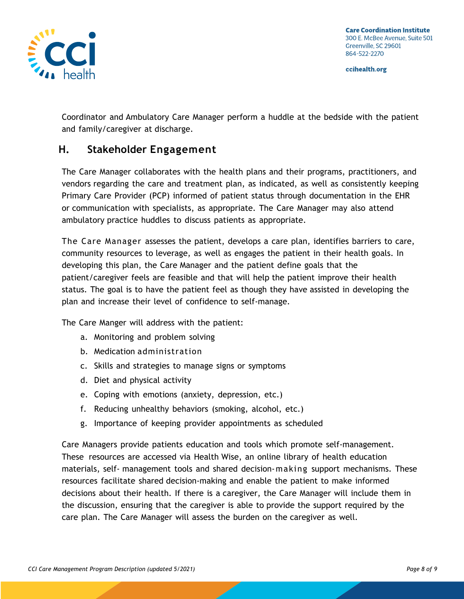

Coordinator and Ambulatory Care Manager perform a huddle at the bedside with the patient and family/caregiver at discharge.

#### **H. Stakeholder Engagement**

The Care Manager collaborates with the health plans and their programs, practitioners, and vendors regarding the care and treatment plan, as indicated, as well as consistently keeping Primary Care Provider (PCP) informed of patient status through documentation in the EHR or communication with specialists, as appropriate. The Care Manager may also attend ambulatory practice huddles to discuss patients as appropriate.

The Care Manager assesses the patient, develops a care plan, identifies barriers to care, community resources to leverage, as well as engages the patient in their health goals. In developing this plan, the Care Manager and the patient define goals that the patient/caregiver feels are feasible and that will help the patient improve their health status. The goal is to have the patient feel as though they have assisted in developing the plan and increase their level of confidence to self-manage.

The Care Manger will address with the patient:

- a. Monitoring and problem solving
- b. Medication administration
- c. Skills and strategies to manage signs or symptoms
- d. Diet and physical activity
- e. Coping with emotions (anxiety, depression, etc.)
- f. Reducing unhealthy behaviors (smoking, alcohol, etc.)
- g. Importance of keeping provider appointments as scheduled

Care Managers provide patients education and tools which promote self-management. These resources are accessed via Health Wise, an online library of health education materials, self- management tools and shared decision-making support mechanisms. These resources facilitate shared decision-making and enable the patient to make informed decisions about their health. If there is a caregiver, the Care Manager will include them in the discussion, ensuring that the caregiver is able to provide the support required by the care plan. The Care Manager will assess the burden on the caregiver as well.